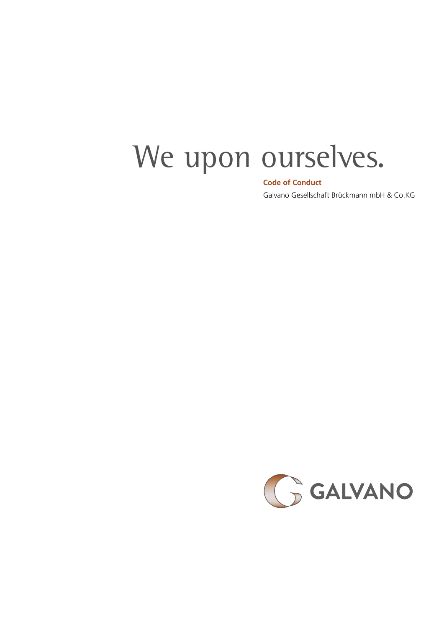# We upon ourselves.

#### **Code of Conduct**

Galvano Gesellschaft Brückmann mbH & Co.KG

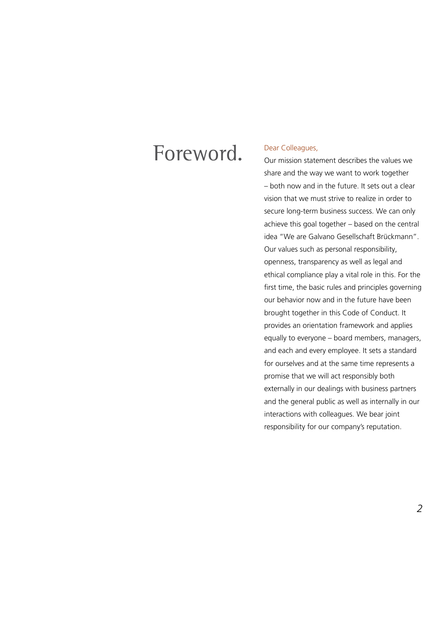### Foreword.

#### Dear Colleagues,

Our mission statement describes the values we share and the way we want to work together – both now and in the future. It sets out a clear vision that we must strive to realize in order to secure long-term business success. We can only achieve this goal together – based on the central idea "We are Galvano Gesellschaft Brückmann". Our values such as personal responsibility, openness, transparency as well as legal and ethical compliance play a vital role in this. For the first time, the basic rules and principles governing our behavior now and in the future have been brought together in this Code of Conduct. It provides an orientation framework and applies equally to everyone – board members, managers, and each and every employee. It sets a standard for ourselves and at the same time represents a promise that we will act responsibly both externally in our dealings with business partners and the general public as well as internally in our interactions with colleagues. We bear joint responsibility for our company's reputation.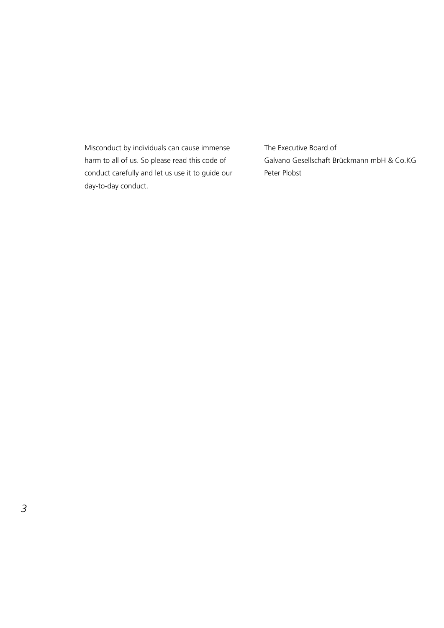Misconduct by individuals can cause immense harm to all of us. So please read this code of conduct carefully and let us use it to guide our day-to-day conduct.

The Executive Board of Galvano Gesellschaft Brückmann mbH & Co.KG Peter Plobst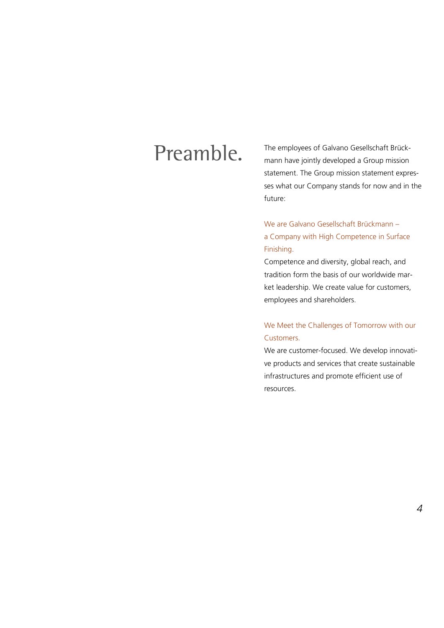### Preamble.

The employees of Galvano Gesellschaft Brückmann have jointly developed a Group mission statement. The Group mission statement expresses what our Company stands for now and in the future:

We are Galvano Gesellschaft Brückmann – a Company with High Competence in Surface Finishing.

Competence and diversity, global reach, and tradition form the basis of our worldwide market leadership. We create value for customers, employees and shareholders.

#### We Meet the Challenges of Tomorrow with our Customers.

We are customer-focused. We develop innovative products and services that create sustainable infrastructures and promote efficient use of resources.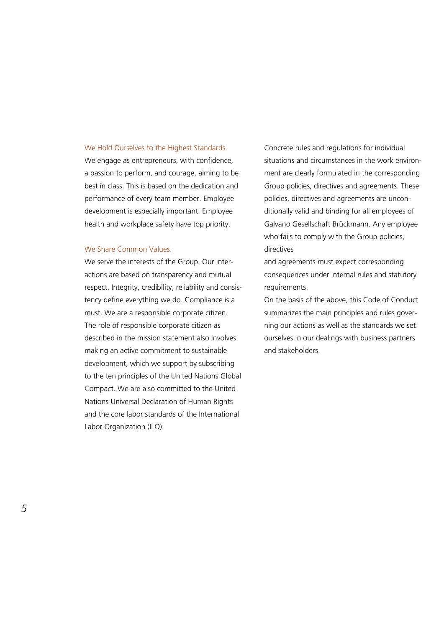#### We Hold Ourselves to the Highest Standards.

We engage as entrepreneurs, with confidence, a passion to perform, and courage, aiming to be best in class. This is based on the dedication and performance of every team member. Employee development is especially important. Employee health and workplace safety have top priority.

#### We Share Common Values.

We serve the interests of the Group. Our interactions are based on transparency and mutual respect. Integrity, credibility, reliability and consistency define everything we do. Compliance is a must. We are a responsible corporate citizen. The role of responsible corporate citizen as described in the mission statement also involves making an active commitment to sustainable development, which we support by subscribing to the ten principles of the United Nations Global Compact. We are also committed to the United Nations Universal Declaration of Human Rights and the core labor standards of the International Labor Organization (ILO).

Concrete rules and regulations for individual situations and circumstances in the work environment are clearly formulated in the corresponding Group policies, directives and agreements. These policies, directives and agreements are unconditionally valid and binding for all employees of Galvano Gesellschaft Brückmann. Any employee who fails to comply with the Group policies, directives

and agreements must expect corresponding consequences under internal rules and statutory requirements.

On the basis of the above, this Code of Conduct summarizes the main principles and rules governing our actions as well as the standards we set ourselves in our dealings with business partners and stakeholders.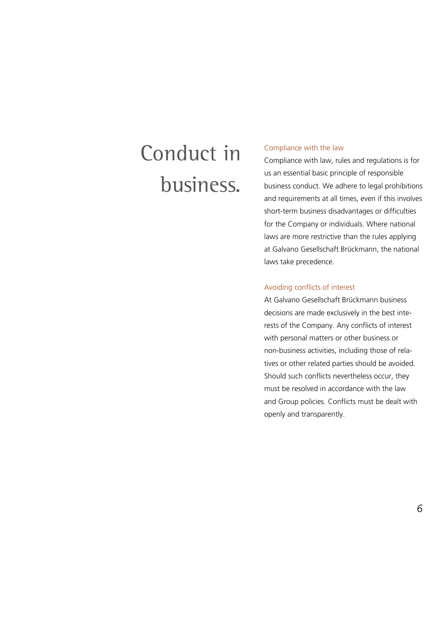## Conduct in business.

#### Compliance with the law

Compliance with law, rules and regulations is for us an essential basic principle of responsible business conduct. We adhere to legal prohibitions and requirements at all times, even if this involves short-term business disadvantages or difficulties for the Company or individuals. Where national laws are more restrictive than the rules applying at Galvano Gesellschaft Brückmann, the national laws take precedence.

#### Avoiding conflicts of interest

At Galvano Gesellschaft Brückmann business decisions are made exclusively in the best interests of the Company. Any conflicts of interest with personal matters or other business or non-business activities, including those of relatives or other related parties should be avoided. Should such conflicts nevertheless occur, they must be resolved in accordance with the law and Group policies. Conflicts must be dealt with openly and transparently.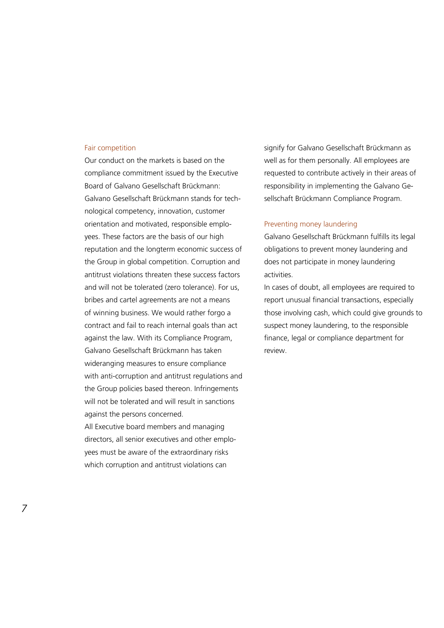#### Fair competition

Our conduct on the markets is based on the compliance commitment issued by the Executive Board of Galvano Gesellschaft Brückmann: Galvano Gesellschaft Brückmann stands for technological competency, innovation, customer orientation and motivated, responsible employees. These factors are the basis of our high reputation and the longterm economic success of the Group in global competition. Corruption and antitrust violations threaten these success factors and will not be tolerated (zero tolerance). For us, bribes and cartel agreements are not a means of winning business. We would rather forgo a contract and fail to reach internal goals than act against the law. With its Compliance Program, Galvano Gesellschaft Brückmann has taken wideranging measures to ensure compliance with anti-corruption and antitrust regulations and the Group policies based thereon. Infringements will not be tolerated and will result in sanctions against the persons concerned. All Executive board members and managing

directors, all senior executives and other employees must be aware of the extraordinary risks which corruption and antitrust violations can

signify for Galvano Gesellschaft Brückmann as well as for them personally. All employees are requested to contribute actively in their areas of responsibility in implementing the Galvano Gesellschaft Brückmann Compliance Program.

#### Preventing money laundering

Galvano Gesellschaft Brückmann fulfills its legal obligations to prevent money laundering and does not participate in money laundering activities.

In cases of doubt, all employees are required to report unusual financial transactions, especially those involving cash, which could give grounds to suspect money laundering, to the responsible finance, legal or compliance department for review.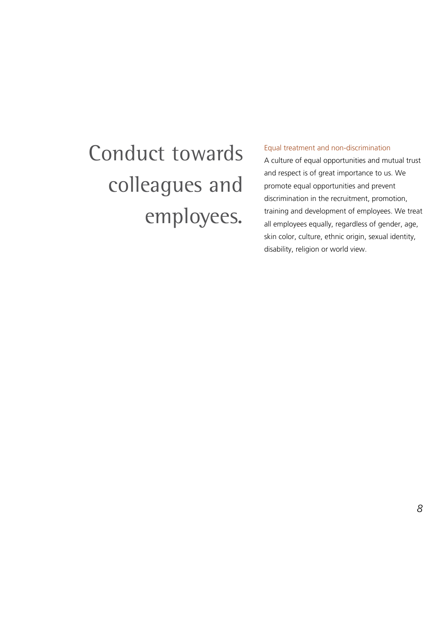# Conduct towards colleagues and employees.

#### Equal treatment and non-discrimination

A culture of equal opportunities and mutual trust and respect is of great importance to us. We promote equal opportunities and prevent discrimination in the recruitment, promotion, training and development of employees. We treat all employees equally, regardless of gender, age, skin color, culture, ethnic origin, sexual identity, disability, religion or world view.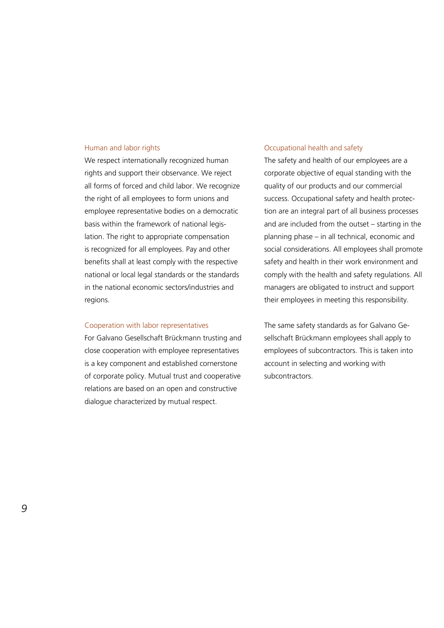#### Human and labor rights

We respect internationally recognized human rights and support their observance. We reject all forms of forced and child labor. We recognize the right of all employees to form unions and employee representative bodies on a democratic basis within the framework of national legislation. The right to appropriate compensation is recognized for all employees. Pay and other benefits shall at least comply with the respective national or local legal standards or the standards in the national economic sectors/industries and regions.

#### Cooperation with labor representatives

For Galvano Gesellschaft Brückmann trusting and close cooperation with employee representatives is a key component and established cornerstone of corporate policy. Mutual trust and cooperative relations are based on an open and constructive dialogue characterized by mutual respect.

#### Occupational health and safety

The safety and health of our employees are a corporate objective of equal standing with the quality of our products and our commercial success. Occupational safety and health protection are an integral part of all business processes and are included from the outset – starting in the planning phase – in all technical, economic and social considerations. All employees shall promote safety and health in their work environment and comply with the health and safety regulations. All managers are obligated to instruct and support their employees in meeting this responsibility.

The same safety standards as for Galvano Gesellschaft Brückmann employees shall apply to employees of subcontractors. This is taken into account in selecting and working with subcontractors.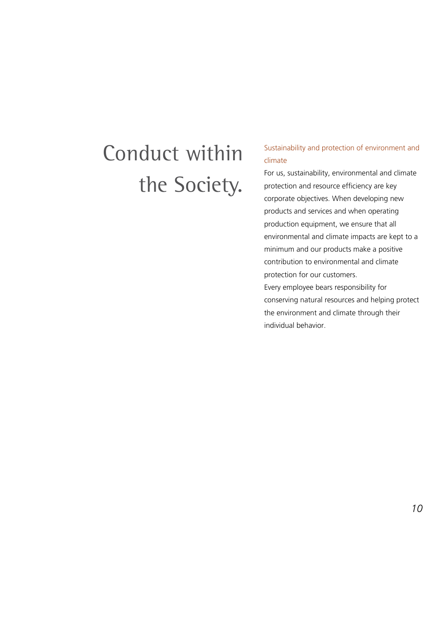## Conduct within the Society.

#### Sustainability and protection of environment and climate

For us, sustainability, environmental and climate protection and resource efficiency are key corporate objectives. When developing new products and services and when operating production equipment, we ensure that all environmental and climate impacts are kept to a minimum and our products make a positive contribution to environmental and climate protection for our customers.

Every employee bears responsibility for conserving natural resources and helping protect the environment and climate through their individual behavior.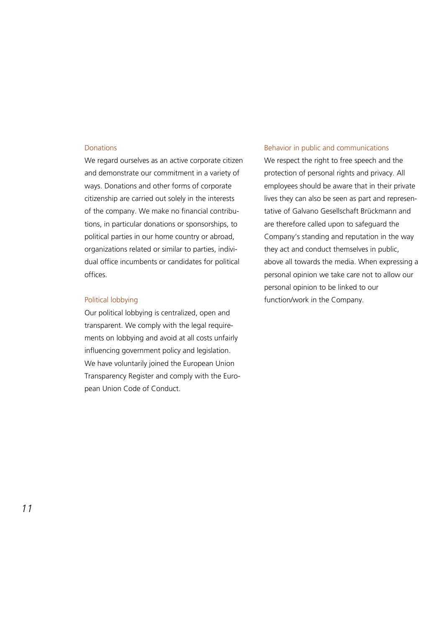#### **Donations**

We regard ourselves as an active corporate citizen and demonstrate our commitment in a variety of ways. Donations and other forms of corporate citizenship are carried out solely in the interests of the company. We make no financial contributions, in particular donations or sponsorships, to political parties in our home country or abroad, organizations related or similar to parties, individual office incumbents or candidates for political offices.

#### Political lobbying

Our political lobbying is centralized, open and transparent. We comply with the legal requirements on lobbying and avoid at all costs unfairly influencing government policy and legislation. We have voluntarily joined the European Union Transparency Register and comply with the European Union Code of Conduct.

#### Behavior in public and communications

We respect the right to free speech and the protection of personal rights and privacy. All employees should be aware that in their private lives they can also be seen as part and representative of Galvano Gesellschaft Brückmann and are therefore called upon to safeguard the Company's standing and reputation in the way they act and conduct themselves in public, above all towards the media. When expressing a personal opinion we take care not to allow our personal opinion to be linked to our function/work in the Company.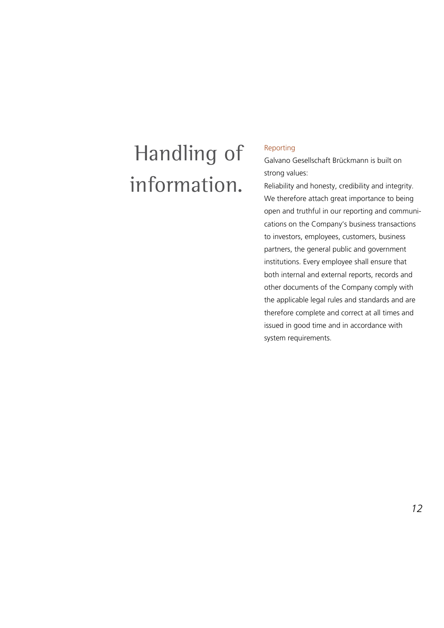### Handling of information.

#### Reporting

Galvano Gesellschaft Brückmann is built on strong values:

Reliability and honesty, credibility and integrity. We therefore attach great importance to being open and truthful in our reporting and communications on the Company's business transactions to investors, employees, customers, business partners, the general public and government institutions. Every employee shall ensure that both internal and external reports, records and other documents of the Company comply with the applicable legal rules and standards and are therefore complete and correct at all times and issued in good time and in accordance with system requirements.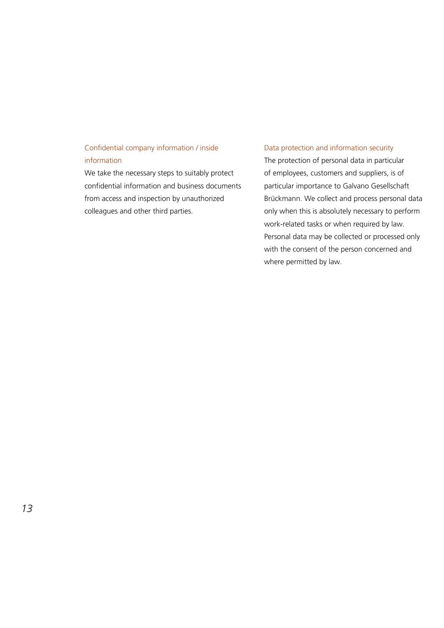#### Confidential company information / inside information

We take the necessary steps to suitably protect confidential information and business documents from access and inspection by unauthorized colleagues and other third parties.

#### Data protection and information security

The protection of personal data in particular of employees, customers and suppliers, is of particular importance to Galvano Gesellschaft Brückmann. We collect and process personal data only when this is absolutely necessary to perform work-related tasks or when required by law. Personal data may be collected or processed only with the consent of the person concerned and where permitted by law.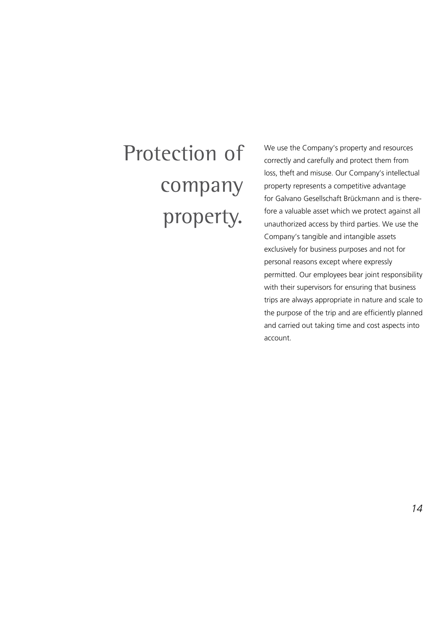# Protection of company property.

We use the Company's property and resources correctly and carefully and protect them from loss, theft and misuse. Our Company's intellectual property represents a competitive advantage for Galvano Gesellschaft Brückmann and is therefore a valuable asset which we protect against all unauthorized access by third parties. We use the Company's tangible and intangible assets exclusively for business purposes and not for personal reasons except where expressly permitted. Our employees bear joint responsibility with their supervisors for ensuring that business trips are always appropriate in nature and scale to the purpose of the trip and are efficiently planned and carried out taking time and cost aspects into account.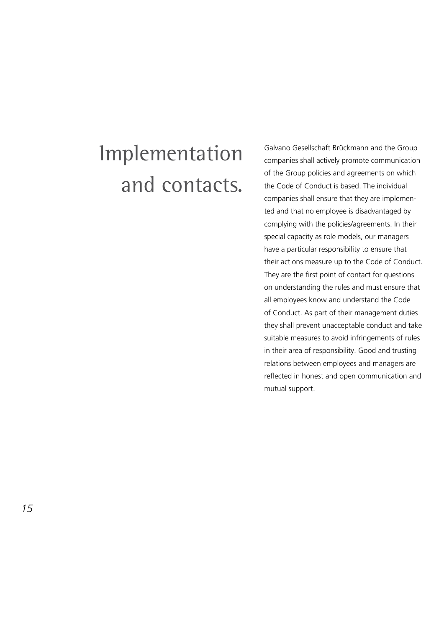### Implementation and contacts.

Galvano Gesellschaft Brückmann and the Group companies shall actively promote communication of the Group policies and agreements on which the Code of Conduct is based. The individual companies shall ensure that they are implemented and that no employee is disadvantaged by complying with the policies/agreements. In their special capacity as role models, our managers have a particular responsibility to ensure that their actions measure up to the Code of Conduct. They are the first point of contact for questions on understanding the rules and must ensure that all employees know and understand the Code of Conduct. As part of their management duties they shall prevent unacceptable conduct and take suitable measures to avoid infringements of rules in their area of responsibility. Good and trusting relations between employees and managers are reflected in honest and open communication and mutual support.